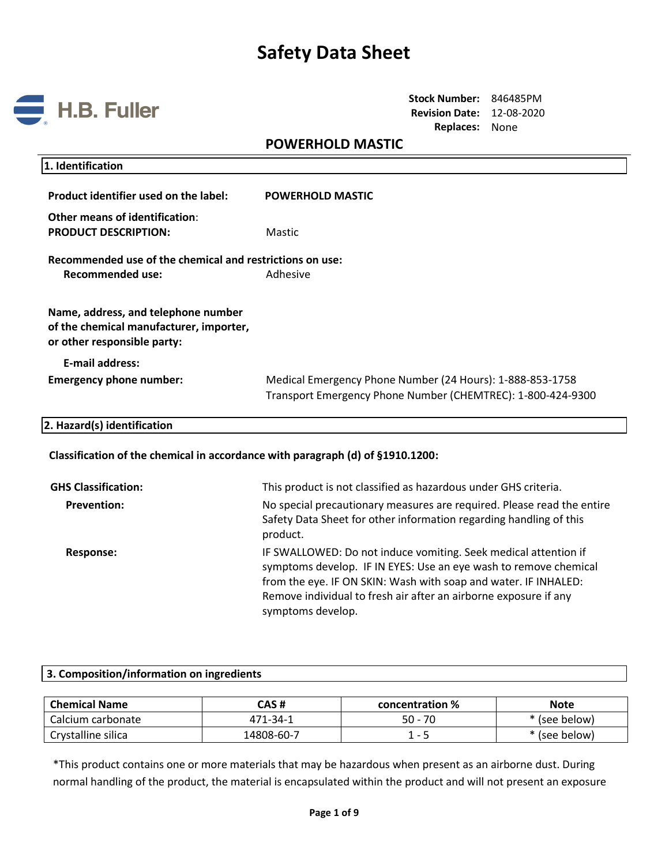

**Stock Number:** 846485PM **Revision Date:** 12-08-2020 **Replaces:** None

## **POWERHOLD MASTIC**

| 1. Identification                     |                         |
|---------------------------------------|-------------------------|
| Product identifier used on the label: | <b>POWERHOLD MASTIC</b> |
| Other means of identification:        |                         |
| <b>PRODUCT DESCRIPTION:</b>           | Mastic                  |

**Recommended use of the chemical and restrictions on use: Recommended use:** Adhesive

**Name, address, and telephone number of the chemical manufacturer, importer, or other responsible party:** 

**E-mail address: Emergency phone number:** Medical Emergency Phone Number (24 Hours): 1-888-853-1758 Transport Emergency Phone Number (CHEMTREC): 1-800-424-9300

### **2. Hazard(s) identification**

### **Classification of the chemical in accordance with paragraph (d) of §1910.1200:**

| <b>GHS Classification:</b> | This product is not classified as hazardous under GHS criteria.                                                                                                                                                                                                                                 |
|----------------------------|-------------------------------------------------------------------------------------------------------------------------------------------------------------------------------------------------------------------------------------------------------------------------------------------------|
| <b>Prevention:</b>         | No special precautionary measures are required. Please read the entire<br>Safety Data Sheet for other information regarding handling of this<br>product.                                                                                                                                        |
| Response:                  | IF SWALLOWED: Do not induce vomiting. Seek medical attention if<br>symptoms develop. IF IN EYES: Use an eye wash to remove chemical<br>from the eye. IF ON SKIN: Wash with soap and water. IF INHALED:<br>Remove individual to fresh air after an airborne exposure if any<br>symptoms develop. |

### **3. Composition/information on ingredients**

| <b>Chemical Name</b> | CAS #      | concentration % | <b>Note</b>   |
|----------------------|------------|-----------------|---------------|
| Calcium carbonate    | 471-34-1   | 70<br>$50 -$    | * (see below) |
| Crystalline silica   | 14808-60-7 |                 | * (see below) |

\*This product contains one or more materials that may be hazardous when present as an airborne dust. During normal handling of the product, the material is encapsulated within the product and will not present an exposure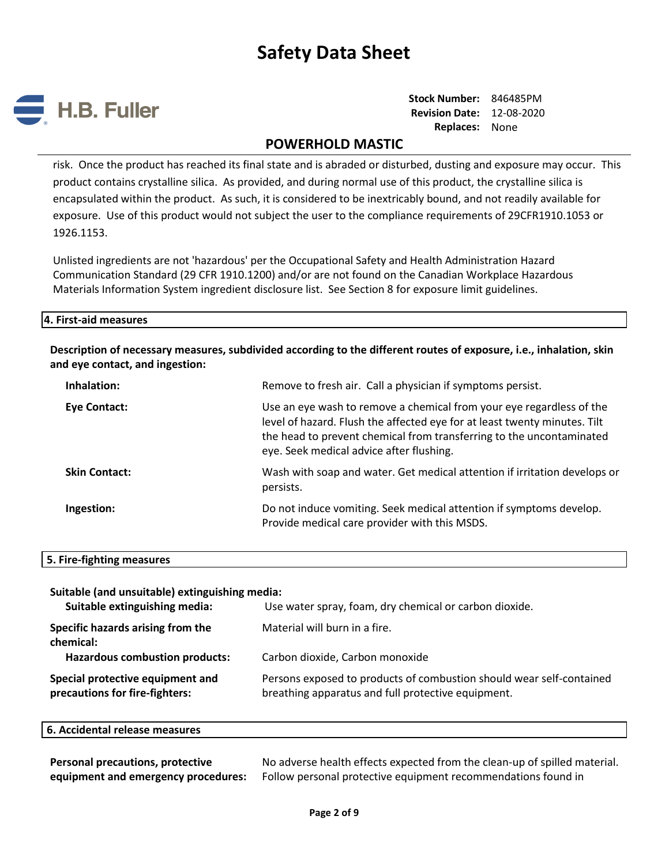

**Stock Number:** 846485PM **Revision Date:** 12-08-2020 **Replaces:** None

## **POWERHOLD MASTIC**

risk. Once the product has reached its final state and is abraded or disturbed, dusting and exposure may occur. This product contains crystalline silica. As provided, and during normal use of this product, the crystalline silica is encapsulated within the product. As such, it is considered to be inextricably bound, and not readily available for exposure. Use of this product would not subject the user to the compliance requirements of 29CFR1910.1053 or 1926.1153.

Unlisted ingredients are not 'hazardous' per the Occupational Safety and Health Administration Hazard Communication Standard (29 CFR 1910.1200) and/or are not found on the Canadian Workplace Hazardous Materials Information System ingredient disclosure list. See Section 8 for exposure limit guidelines.

### **4. First-aid measures**

**Description of necessary measures, subdivided according to the different routes of exposure, i.e., inhalation, skin and eye contact, and ingestion:** 

| Inhalation:          | Remove to fresh air. Call a physician if symptoms persist.                                                                                                                                                                                                            |
|----------------------|-----------------------------------------------------------------------------------------------------------------------------------------------------------------------------------------------------------------------------------------------------------------------|
| Eye Contact:         | Use an eye wash to remove a chemical from your eye regardless of the<br>level of hazard. Flush the affected eye for at least twenty minutes. Tilt<br>the head to prevent chemical from transferring to the uncontaminated<br>eye. Seek medical advice after flushing. |
| <b>Skin Contact:</b> | Wash with soap and water. Get medical attention if irritation develops or<br>persists.                                                                                                                                                                                |
| Ingestion:           | Do not induce vomiting. Seek medical attention if symptoms develop.<br>Provide medical care provider with this MSDS.                                                                                                                                                  |

### **5. Fire-fighting measures**

## **Suitable (and unsuitable) extinguishing media: Suitable extinguishing media:** Use water spray, foam, dry chemical or carbon dioxide. **Specific hazards arising from the chemical:** Material will burn in a fire. Hazardous combustion products: Carbon dioxide, Carbon monoxide Persons exposed to products of combustion should wear self-contained

**Special protective equipment and precautions for fire-fighters:**  breathing apparatus and full protective equipment.

| 6. Accidental release measures |  |  |
|--------------------------------|--|--|
|                                |  |  |

| <b>Personal precautions, protective</b> | No adverse health effects expected from the clean-up of spilled material. |
|-----------------------------------------|---------------------------------------------------------------------------|
| equipment and emergency procedures:     | Follow personal protective equipment recommendations found in             |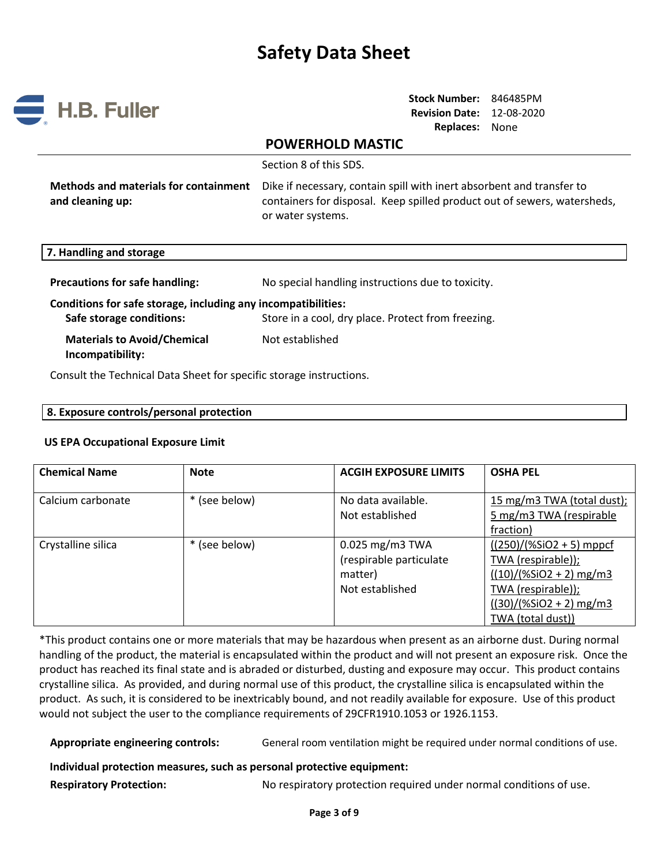

**Stock Number:** 846485PM **Revision Date:** 12-08-2020 **Replaces:** None

## **POWERHOLD MASTIC**

|                                              | Section 8 of this SDS.                                                                        |
|----------------------------------------------|-----------------------------------------------------------------------------------------------|
| <b>Methods and materials for containment</b> | Dike if necessary, contain spill with inert absorbent and transfer to                         |
| and cleaning up:                             | containers for disposal. Keep spilled product out of sewers, watersheds,<br>or water systems. |

#### **7. Handling and storage**

**Precautions for safe handling:** No special handling instructions due to toxicity. **Conditions for safe storage, including any incompatibilities:**  Safe storage conditions: Store in a cool, dry place. Protect from freezing. **Materials to Avoid/Chemical Incompatibility:**  Not established

Consult the Technical Data Sheet for specific storage instructions.

### **8. Exposure controls/personal protection**

### **US EPA Occupational Exposure Limit**

| <b>Chemical Name</b> | <b>Note</b>   | <b>ACGIH EXPOSURE LIMITS</b>                                             | <b>OSHA PEL</b>                                                                                                                                       |
|----------------------|---------------|--------------------------------------------------------------------------|-------------------------------------------------------------------------------------------------------------------------------------------------------|
| Calcium carbonate    | * (see below) | No data available.<br>Not established                                    | 15 mg/m3 TWA (total dust);<br>5 mg/m3 TWA (respirable<br>fraction)                                                                                    |
| Crystalline silica   | * (see below) | 0.025 mg/m3 TWA<br>(respirable particulate<br>matter)<br>Not established | $((250)/(%SiO2 + 5)$ mppcf<br>TWA (respirable));<br>$((10)/(%SiO2 + 2)$ mg/m3<br>TWA (respirable));<br>$((30)/(%SiO2 + 2)$ mg/m3<br>TWA (total dust)) |

\*This product contains one or more materials that may be hazardous when present as an airborne dust. During normal handling of the product, the material is encapsulated within the product and will not present an exposure risk. Once the product has reached its final state and is abraded or disturbed, dusting and exposure may occur. This product contains crystalline silica. As provided, and during normal use of this product, the crystalline silica is encapsulated within the product. As such, it is considered to be inextricably bound, and not readily available for exposure. Use of this product would not subject the user to the compliance requirements of 29CFR1910.1053 or 1926.1153.

**Appropriate engineering controls:** General room ventilation might be required under normal conditions of use.

### **Individual protection measures, such as personal protective equipment:**

**Respiratory Protection:** No respiratory protection required under normal conditions of use.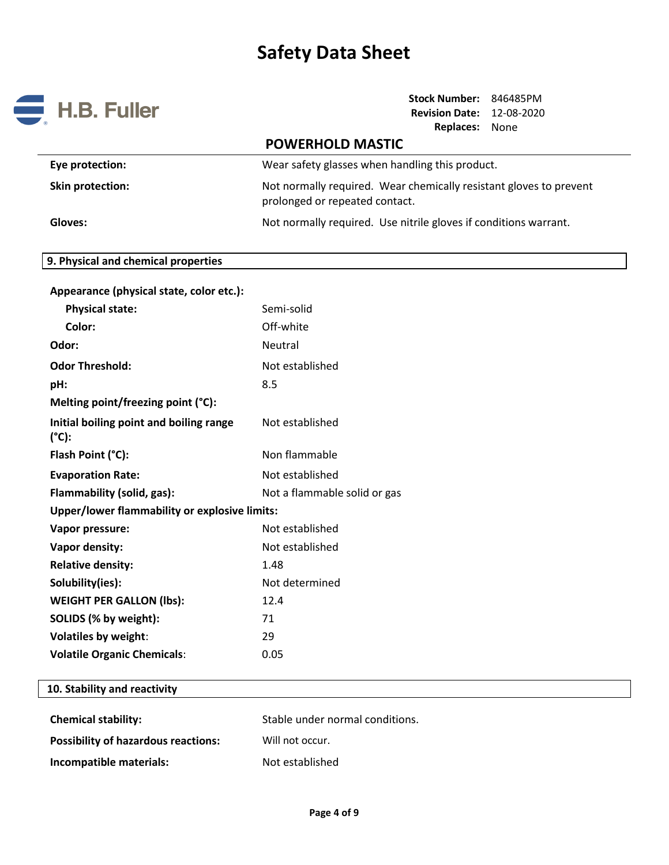

**Stock Number:** 846485PM **Revision Date:** 12-08-2020 **Replaces:** None

|                                                  | <b>POWERHOLD MASTIC</b>                                                                              |
|--------------------------------------------------|------------------------------------------------------------------------------------------------------|
| Eye protection:                                  | Wear safety glasses when handling this product.                                                      |
| <b>Skin protection:</b>                          | Not normally required. Wear chemically resistant gloves to prevent<br>prolonged or repeated contact. |
| Gloves:                                          | Not normally required. Use nitrile gloves if conditions warrant.                                     |
| 9. Physical and chemical properties              |                                                                                                      |
| Appearance (physical state, color etc.):         |                                                                                                      |
| <b>Physical state:</b>                           | Semi-solid                                                                                           |
| Color:                                           | Off-white                                                                                            |
| Odor:                                            | <b>Neutral</b>                                                                                       |
| <b>Odor Threshold:</b>                           | Not established                                                                                      |
| pH:                                              | 8.5                                                                                                  |
| Melting point/freezing point (°C):               |                                                                                                      |
| Initial boiling point and boiling range<br>(°C): | Not established                                                                                      |
| Flash Point (°C):                                | Non flammable                                                                                        |
| <b>Evaporation Rate:</b>                         | Not established                                                                                      |

| Flammability (solid, gas):                    | Not a flammable solid or gas |  |
|-----------------------------------------------|------------------------------|--|
| Upper/lower flammability or explosive limits: |                              |  |
| Vapor pressure:                               | Not established              |  |
| Vapor density:                                | Not established              |  |
| <b>Relative density:</b>                      | 1.48                         |  |
| Solubility(ies):                              | Not determined               |  |
|                                               |                              |  |

**WEIGHT PER GALLON (lbs):** 12.4 **SOLIDS (% by weight):** 71 **Volatiles by weight**: 29 **Volatile Organic Chemicals**: 0.05

## **10. Stability and reactivity**

| <b>Chemical stability:</b>                 | Stable under normal conditions. |
|--------------------------------------------|---------------------------------|
| <b>Possibility of hazardous reactions:</b> | Will not occur.                 |
| Incompatible materials:                    | Not established                 |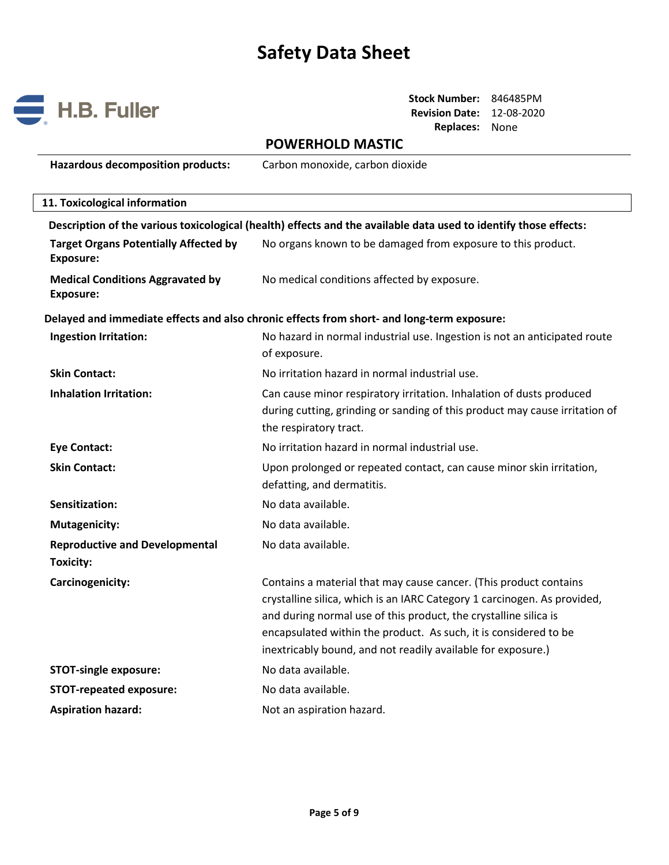

**Stock Number:** 846485PM **Revision Date:** 12-08-2020 **Replaces:** None

# **POWERHOLD MASTIC**

| POWERHOLD MASTIC                                                 |                                                                                                                                                                                                                                                                                                                                                       |  |
|------------------------------------------------------------------|-------------------------------------------------------------------------------------------------------------------------------------------------------------------------------------------------------------------------------------------------------------------------------------------------------------------------------------------------------|--|
| <b>Hazardous decomposition products:</b>                         | Carbon monoxide, carbon dioxide                                                                                                                                                                                                                                                                                                                       |  |
| 11. Toxicological information                                    |                                                                                                                                                                                                                                                                                                                                                       |  |
|                                                                  | Description of the various toxicological (health) effects and the available data used to identify those effects:                                                                                                                                                                                                                                      |  |
| <b>Target Organs Potentially Affected by</b><br><b>Exposure:</b> | No organs known to be damaged from exposure to this product.                                                                                                                                                                                                                                                                                          |  |
| <b>Medical Conditions Aggravated by</b><br><b>Exposure:</b>      | No medical conditions affected by exposure.                                                                                                                                                                                                                                                                                                           |  |
|                                                                  | Delayed and immediate effects and also chronic effects from short- and long-term exposure:                                                                                                                                                                                                                                                            |  |
| <b>Ingestion Irritation:</b>                                     | No hazard in normal industrial use. Ingestion is not an anticipated route<br>of exposure.                                                                                                                                                                                                                                                             |  |
| <b>Skin Contact:</b>                                             | No irritation hazard in normal industrial use.                                                                                                                                                                                                                                                                                                        |  |
| <b>Inhalation Irritation:</b>                                    | Can cause minor respiratory irritation. Inhalation of dusts produced<br>during cutting, grinding or sanding of this product may cause irritation of<br>the respiratory tract.                                                                                                                                                                         |  |
| <b>Eye Contact:</b>                                              | No irritation hazard in normal industrial use.                                                                                                                                                                                                                                                                                                        |  |
| <b>Skin Contact:</b>                                             | Upon prolonged or repeated contact, can cause minor skin irritation,<br>defatting, and dermatitis.                                                                                                                                                                                                                                                    |  |
| Sensitization:                                                   | No data available.                                                                                                                                                                                                                                                                                                                                    |  |
| <b>Mutagenicity:</b>                                             | No data available.                                                                                                                                                                                                                                                                                                                                    |  |
| <b>Reproductive and Developmental</b><br><b>Toxicity:</b>        | No data available.                                                                                                                                                                                                                                                                                                                                    |  |
| Carcinogenicity:                                                 | Contains a material that may cause cancer. (This product contains<br>crystalline silica, which is an IARC Category 1 carcinogen. As provided,<br>and during normal use of this product, the crystalline silica is<br>encapsulated within the product. As such, it is considered to be<br>inextricably bound, and not readily available for exposure.) |  |
| <b>STOT-single exposure:</b>                                     | No data available.                                                                                                                                                                                                                                                                                                                                    |  |
| <b>STOT-repeated exposure:</b>                                   | No data available.                                                                                                                                                                                                                                                                                                                                    |  |
| <b>Aspiration hazard:</b>                                        | Not an aspiration hazard.                                                                                                                                                                                                                                                                                                                             |  |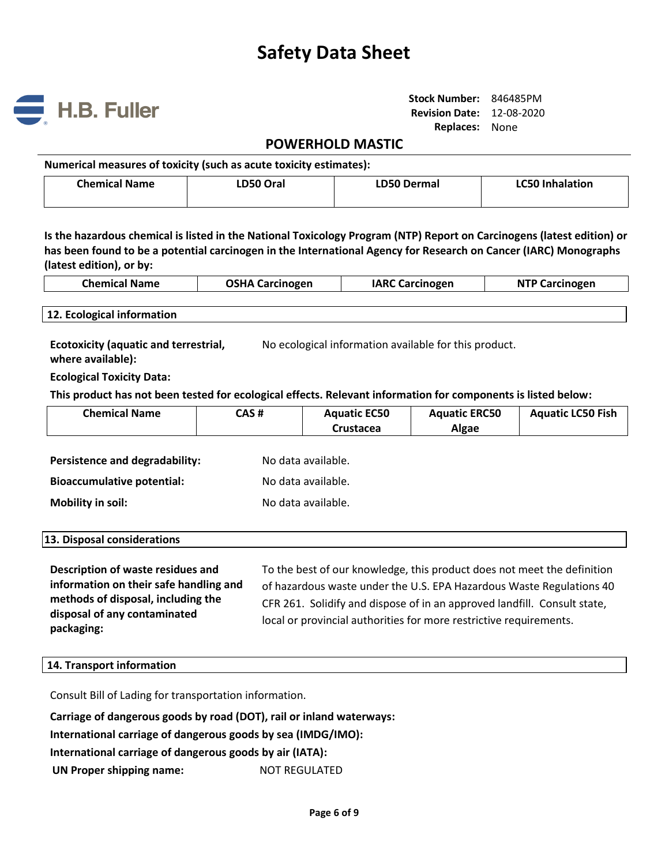

**Stock Number:** 846485PM **Revision Date:** 12-08-2020 **Replaces:** None

## **POWERHOLD MASTIC**

| Numerical measures of toxicity (such as acute toxicity estimates): |           |                    |                        |
|--------------------------------------------------------------------|-----------|--------------------|------------------------|
| <b>Chemical Name</b>                                               | LD50 Oral | <b>LD50 Dermal</b> | <b>LC50 Inhalation</b> |
|                                                                    |           |                    |                        |

**Is the hazardous chemical is listed in the National Toxicology Program (NTP) Report on Carcinogens (latest edition) or has been found to be a potential carcinogen in the International Agency for Research on Cancer (IARC) Monographs (latest edition), or by:**

| <b>Chemical Name</b> | <b>OSHA Carcinogen</b> | <b>IARC Carcinogen</b> | <b>NTP Carcinogen</b> |
|----------------------|------------------------|------------------------|-----------------------|
|                      |                        |                        |                       |

**12. Ecological information**

**Ecotoxicity (aquatic and terrestrial, where available):** No ecological information available for this product.

**Ecological Toxicity Data:** 

**This product has not been tested for ecological effects. Relevant information for components is listed below:**

| <b>Chemical Name</b>                  | CAS#               | <b>Aquatic EC50</b><br>Crustacea | <b>Aquatic ERC50</b><br>Algae | <b>Aquatic LC50 Fish</b> |
|---------------------------------------|--------------------|----------------------------------|-------------------------------|--------------------------|
| <b>Persistence and degradability:</b> | No data available. |                                  |                               |                          |
| <b>Bioaccumulative potential:</b>     | No data available. |                                  |                               |                          |
| <b>Mobility in soil:</b>              | No data available. |                                  |                               |                          |
| 13. Disposal considerations           |                    |                                  |                               |                          |
|                                       |                    |                                  |                               |                          |

**Description of waste residues and information on their safe handling and methods of disposal, including the disposal of any contaminated packaging:** 

To the best of our knowledge, this product does not meet the definition of hazardous waste under the U.S. EPA Hazardous Waste Regulations 40 CFR 261. Solidify and dispose of in an approved landfill. Consult state, local or provincial authorities for more restrictive requirements.

### **14. Transport information**

Consult Bill of Lading for transportation information.

**Carriage of dangerous goods by road (DOT), rail or inland waterways:**

**International carriage of dangerous goods by sea (IMDG/IMO):**

**International carriage of dangerous goods by air (IATA):**

**UN Proper shipping name:** NOT REGULATED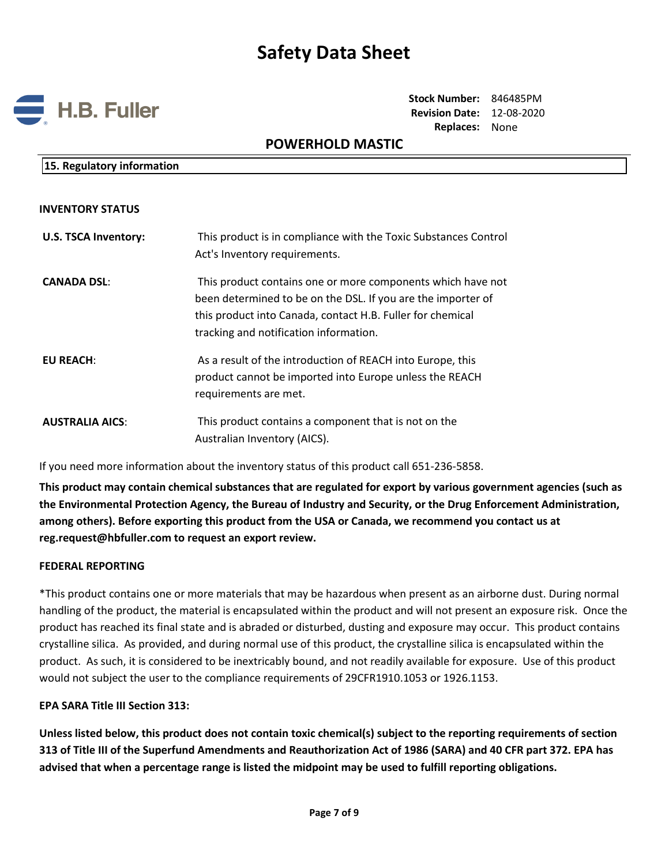

**Stock Number:** 846485PM **Revision Date:** 12-08-2020 **Replaces:** None

### **POWERHOLD MASTIC**

### **15. Regulatory information**

### **INVENTORY STATUS**

| <b>U.S. TSCA Inventory:</b> | This product is in compliance with the Toxic Substances Control<br>Act's Inventory requirements.                                                                                                                                    |
|-----------------------------|-------------------------------------------------------------------------------------------------------------------------------------------------------------------------------------------------------------------------------------|
| <b>CANADA DSL:</b>          | This product contains one or more components which have not<br>been determined to be on the DSL. If you are the importer of<br>this product into Canada, contact H.B. Fuller for chemical<br>tracking and notification information. |
| <b>EU REACH:</b>            | As a result of the introduction of REACH into Europe, this<br>product cannot be imported into Europe unless the REACH<br>requirements are met.                                                                                      |
| <b>AUSTRALIA AICS:</b>      | This product contains a component that is not on the<br>Australian Inventory (AICS).                                                                                                                                                |

If you need more information about the inventory status of this product call 651-236-5858.

**This product may contain chemical substances that are regulated for export by various government agencies (such as the Environmental Protection Agency, the Bureau of Industry and Security, or the Drug Enforcement Administration, among others). Before exporting this product from the USA or Canada, we recommend you contact us at reg.request@hbfuller.com to request an export review.**

### **FEDERAL REPORTING**

\*This product contains one or more materials that may be hazardous when present as an airborne dust. During normal handling of the product, the material is encapsulated within the product and will not present an exposure risk. Once the product has reached its final state and is abraded or disturbed, dusting and exposure may occur. This product contains crystalline silica. As provided, and during normal use of this product, the crystalline silica is encapsulated within the product. As such, it is considered to be inextricably bound, and not readily available for exposure. Use of this product would not subject the user to the compliance requirements of 29CFR1910.1053 or 1926.1153.

### **EPA SARA Title III Section 313:**

**Unless listed below, this product does not contain toxic chemical(s) subject to the reporting requirements of section 313 of Title III of the Superfund Amendments and Reauthorization Act of 1986 (SARA) and 40 CFR part 372. EPA has advised that when a percentage range is listed the midpoint may be used to fulfill reporting obligations.**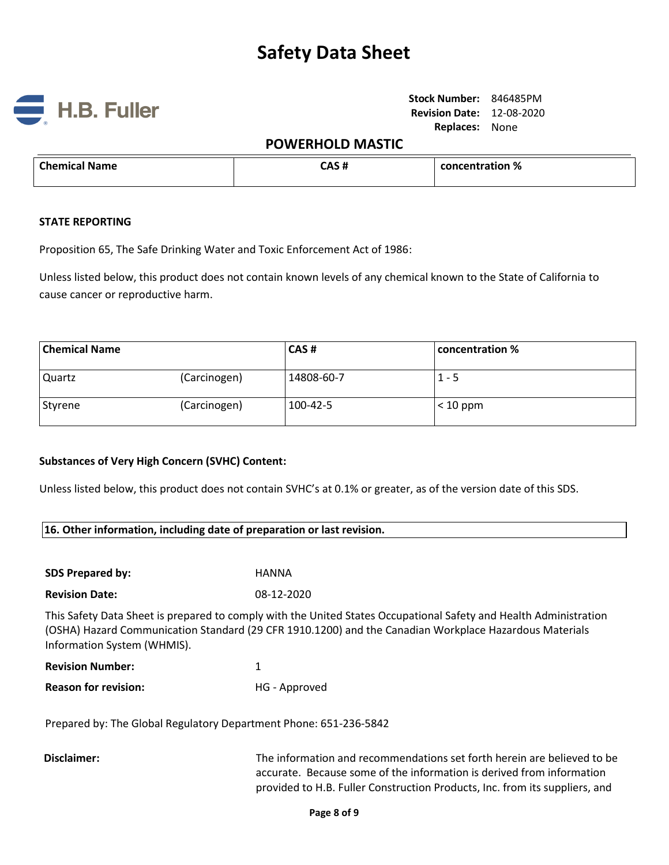

**Stock Number:** 846485PM **Revision Date:** 12-08-2020 **Replaces:** None

## **POWERHOLD MASTIC**

| Chemical <sub>1</sub><br>' Name<br>_____ | CAS# | concentration %<br>__ |
|------------------------------------------|------|-----------------------|
|                                          |      |                       |

### **STATE REPORTING**

Proposition 65, The Safe Drinking Water and Toxic Enforcement Act of 1986:

Unless listed below, this product does not contain known levels of any chemical known to the State of California to cause cancer or reproductive harm.

| <b>Chemical Name</b> |              | CAS#       | concentration % |
|----------------------|--------------|------------|-----------------|
| Quartz               | (Carcinogen) | 14808-60-7 | $1 - 5$         |
| Styrene              | (Carcinogen) | 100-42-5   | $< 10$ ppm      |

### **Substances of Very High Concern (SVHC) Content:**

Unless listed below, this product does not contain SVHC's at 0.1% or greater, as of the version date of this SDS.

### **16. Other information, including date of preparation or last revision.**

| <b>SDS Prepared by:</b> | HANNA      |
|-------------------------|------------|
| <b>Revision Date:</b>   | 08-12-2020 |

This Safety Data Sheet is prepared to comply with the United States Occupational Safety and Health Administration (OSHA) Hazard Communication Standard (29 CFR 1910.1200) and the Canadian Workplace Hazardous Materials Information System (WHMIS).

| <b>Revision Number:</b>     |               |
|-----------------------------|---------------|
| <b>Reason for revision:</b> | HG - Approved |

Prepared by: The Global Regulatory Department Phone: 651-236-5842

**Disclaimer:** The information and recommendations set forth herein are believed to be accurate. Because some of the information is derived from information provided to H.B. Fuller Construction Products, Inc. from its suppliers, and